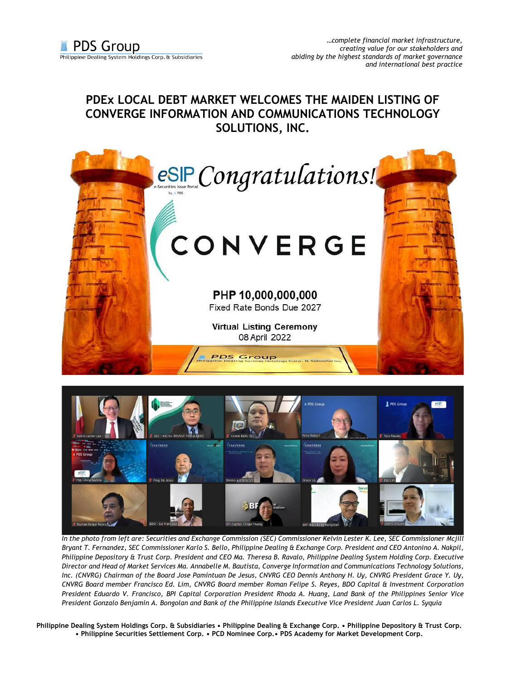## **PDEx LOCAL DEBT MARKET WELCOMES THE MAIDEN LISTING OF CONVERGE INFORMATION AND COMMUNICATIONS TECHNOLOGY SOLUTIONS, INC.**





*In the photo from left are: Securities and Exchange Commission (SEC) Commissioner Kelvin Lester K. Lee, SEC Commissioner Mcjill Bryant T. Fernandez, SEC Commissioner Karlo S. Bello, Philippine Dealing & Exchange Corp. President and CEO Antonino A. Nakpil, Philippine Depository & Trust Corp. President and CEO Ma. Theresa B. Ravalo, Philippine Dealing System Holding Corp. Executive Director and Head of Market Services Ma. Annabelle M. Bautista, Converge Information and Communications Technology Solutions, Inc. (CNVRG) Chairman of the Board Jose Pamintuan De Jesus, CNVRG CEO Dennis Anthony H. Uy, CNVRG President Grace Y. Uy, CNVRG Board member Francisco Ed. Lim, CNVRG Board member Roman Felipe S. Reyes, BDO Capital & Investment Corporation President Eduardo V. Francisco, BPI Capital Corporation President Rhoda A. Huang, Land Bank of the Philippines Senior Vice President Gonzalo Benjamin A. Bongolan and Bank of the Philippine Islands Executive Vice President Juan Carlos L. Syquia*

**Philippine Dealing System Holdings Corp. & Subsidiaries • Philippine Dealing & Exchange Corp. • Philippine Depository & Trust Corp. • Philippine Securities Settlement Corp. • PCD Nominee Corp.• PDS Academy for Market Development Corp.**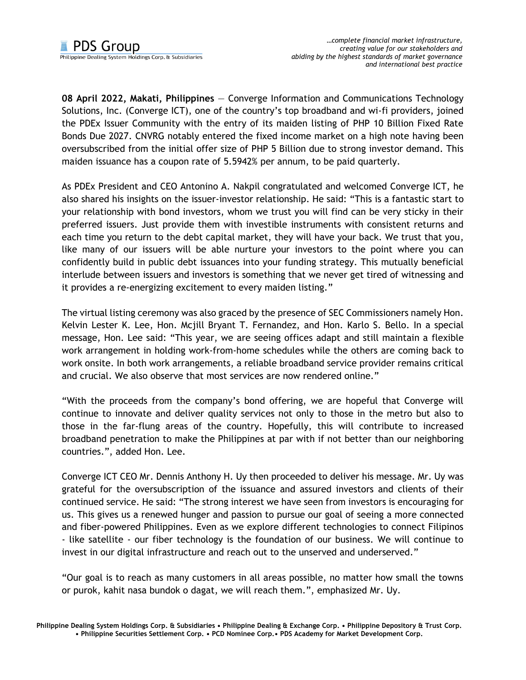**08 April 2022, Makati, Philippines** — Converge Information and Communications Technology Solutions, Inc. (Converge ICT), one of the country's top broadband and wi-fi providers, joined the PDEx Issuer Community with the entry of its maiden listing of PHP 10 Billion Fixed Rate Bonds Due 2027. CNVRG notably entered the fixed income market on a high note having been oversubscribed from the initial offer size of PHP 5 Billion due to strong investor demand. This maiden issuance has a coupon rate of 5.5942% per annum, to be paid quarterly.

As PDEx President and CEO Antonino A. Nakpil congratulated and welcomed Converge ICT, he also shared his insights on the issuer-investor relationship. He said: "This is a fantastic start to your relationship with bond investors, whom we trust you will find can be very sticky in their preferred issuers. Just provide them with investible instruments with consistent returns and each time you return to the debt capital market, they will have your back. We trust that you, like many of our issuers will be able nurture your investors to the point where you can confidently build in public debt issuances into your funding strategy. This mutually beneficial interlude between issuers and investors is something that we never get tired of witnessing and it provides a re-energizing excitement to every maiden listing."

The virtual listing ceremony was also graced by the presence of SEC Commissioners namely Hon. Kelvin Lester K. Lee, Hon. Mcjill Bryant T. Fernandez, and Hon. Karlo S. Bello. In a special message, Hon. Lee said: "This year, we are seeing offices adapt and still maintain a flexible work arrangement in holding work-from-home schedules while the others are coming back to work onsite. In both work arrangements, a reliable broadband service provider remains critical and crucial. We also observe that most services are now rendered online."

"With the proceeds from the company's bond offering, we are hopeful that Converge will continue to innovate and deliver quality services not only to those in the metro but also to those in the far-flung areas of the country. Hopefully, this will contribute to increased broadband penetration to make the Philippines at par with if not better than our neighboring countries.", added Hon. Lee.

Converge ICT CEO Mr. Dennis Anthony H. Uy then proceeded to deliver his message. Mr. Uy was grateful for the oversubscription of the issuance and assured investors and clients of their continued service. He said: "The strong interest we have seen from investors is encouraging for us. This gives us a renewed hunger and passion to pursue our goal of seeing a more connected and fiber-powered Philippines. Even as we explore different technologies to connect Filipinos - like satellite - our fiber technology is the foundation of our business. We will continue to invest in our digital infrastructure and reach out to the unserved and underserved."

"Our goal is to reach as many customers in all areas possible, no matter how small the towns or purok, kahit nasa bundok o dagat, we will reach them.", emphasized Mr. Uy.